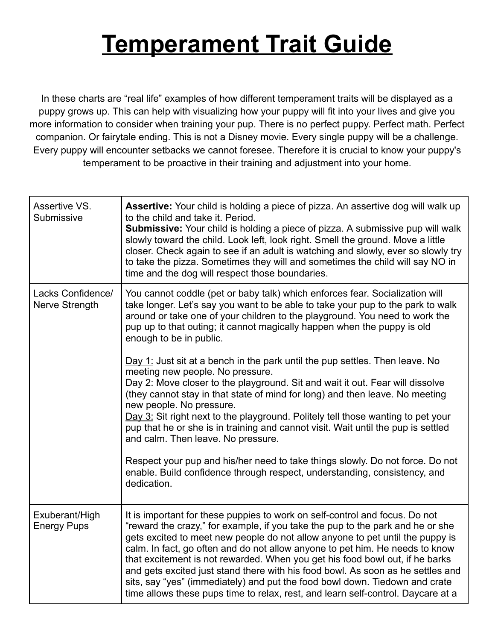## **Temperament Trait Guide**

In these charts are "real life" examples of how different temperament traits will be displayed as a puppy grows up. This can help with visualizing how your puppy will fit into your lives and give you more information to consider when training your pup. There is no perfect puppy. Perfect math. Perfect companion. Or fairytale ending. This is not a Disney movie. Every single puppy will be a challenge. Every puppy will encounter setbacks we cannot foresee. Therefore it is crucial to know your puppy's temperament to be proactive in their training and adjustment into your home.

| Assertive VS.<br>Submissive          | Assertive: Your child is holding a piece of pizza. An assertive dog will walk up<br>to the child and take it. Period.<br>Submissive: Your child is holding a piece of pizza. A submissive pup will walk<br>slowly toward the child. Look left, look right. Smell the ground. Move a little<br>closer. Check again to see if an adult is watching and slowly, ever so slowly try<br>to take the pizza. Sometimes they will and sometimes the child will say NO in<br>time and the dog will respect those boundaries.                                                                                                                                                                                                                                                                                                                                                                                                                                                                                                                                                      |
|--------------------------------------|--------------------------------------------------------------------------------------------------------------------------------------------------------------------------------------------------------------------------------------------------------------------------------------------------------------------------------------------------------------------------------------------------------------------------------------------------------------------------------------------------------------------------------------------------------------------------------------------------------------------------------------------------------------------------------------------------------------------------------------------------------------------------------------------------------------------------------------------------------------------------------------------------------------------------------------------------------------------------------------------------------------------------------------------------------------------------|
| Lacks Confidence/<br>Nerve Strength  | You cannot coddle (pet or baby talk) which enforces fear. Socialization will<br>take longer. Let's say you want to be able to take your pup to the park to walk<br>around or take one of your children to the playground. You need to work the<br>pup up to that outing; it cannot magically happen when the puppy is old<br>enough to be in public.<br>Day 1: Just sit at a bench in the park until the pup settles. Then leave. No<br>meeting new people. No pressure.<br>Day 2: Move closer to the playground. Sit and wait it out. Fear will dissolve<br>(they cannot stay in that state of mind for long) and then leave. No meeting<br>new people. No pressure.<br>$\Delta y$ 3: Sit right next to the playground. Politely tell those wanting to pet your<br>pup that he or she is in training and cannot visit. Wait until the pup is settled<br>and calm. Then leave. No pressure.<br>Respect your pup and his/her need to take things slowly. Do not force. Do not<br>enable. Build confidence through respect, understanding, consistency, and<br>dedication. |
| Exuberant/High<br><b>Energy Pups</b> | It is important for these puppies to work on self-control and focus. Do not<br>"reward the crazy," for example, if you take the pup to the park and he or she<br>gets excited to meet new people do not allow anyone to pet until the puppy is<br>calm. In fact, go often and do not allow anyone to pet him. He needs to know<br>that excitement is not rewarded. When you get his food bowl out, if he barks<br>and gets excited just stand there with his food bowl. As soon as he settles and<br>sits, say "yes" (immediately) and put the food bowl down. Tiedown and crate<br>time allows these pups time to relax, rest, and learn self-control. Daycare at a                                                                                                                                                                                                                                                                                                                                                                                                     |